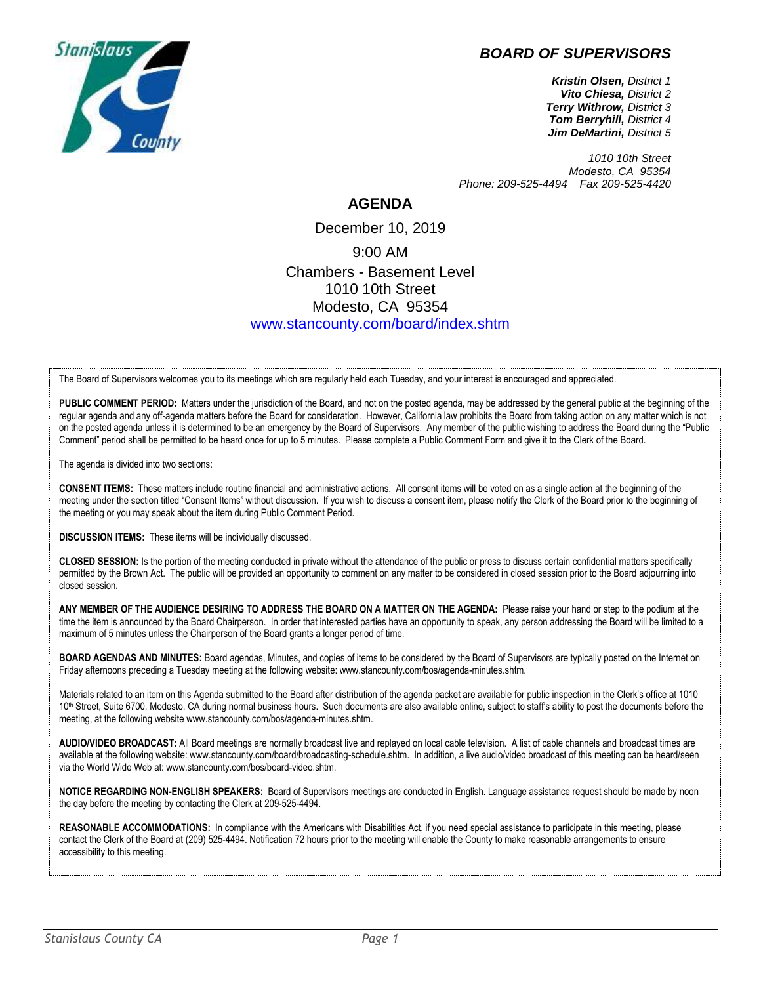# *BOARD OF SUPERVISORS*



*Kristin Olsen, District 1 Vito Chiesa, District 2 Terry Withrow, District 3 Tom Berryhill, District 4 Jim DeMartini, District 5*

*1010 10th Street Modesto, CA 95354 Phone: 209-525-4494 Fax 209-525-4420*

## **AGENDA**

December 10, 2019 9:00 AM Chambers - Basement Level 1010 10th Street Modesto, CA 95354 [www.stancounty.com/board/index.shtm](http://www.stancounty.com/board/index.shtm)

The Board of Supervisors welcomes you to its meetings which are regularly held each Tuesday, and your interest is encouraged and appreciated.

PUBLIC COMMENT PERIOD: Matters under the jurisdiction of the Board, and not on the posted agenda, may be addressed by the general public at the beginning of the regular agenda and any off-agenda matters before the Board for consideration. However, California law prohibits the Board from taking action on any matter which is not on the posted agenda unless it is determined to be an emergency by the Board of Supervisors. Any member of the public wishing to address the Board during the "Public Comment" period shall be permitted to be heard once for up to 5 minutes. Please complete a Public Comment Form and give it to the Clerk of the Board.

The agenda is divided into two sections:

**CONSENT ITEMS:** These matters include routine financial and administrative actions. All consent items will be voted on as a single action at the beginning of the meeting under the section titled "Consent Items" without discussion. If you wish to discuss a consent item, please notify the Clerk of the Board prior to the beginning of the meeting or you may speak about the item during Public Comment Period.

**DISCUSSION ITEMS:** These items will be individually discussed.

**CLOSED SESSION:** Is the portion of the meeting conducted in private without the attendance of the public or press to discuss certain confidential matters specifically permitted by the Brown Act. The public will be provided an opportunity to comment on any matter to be considered in closed session prior to the Board adjourning into closed session**.**

**ANY MEMBER OF THE AUDIENCE DESIRING TO ADDRESS THE BOARD ON A MATTER ON THE AGENDA:** Please raise your hand or step to the podium at the time the item is announced by the Board Chairperson. In order that interested parties have an opportunity to speak, any person addressing the Board will be limited to a maximum of 5 minutes unless the Chairperson of the Board grants a longer period of time.

**BOARD AGENDAS AND MINUTES:** Board agendas, Minutes, and copies of items to be considered by the Board of Supervisors are typically posted on the Internet on Friday afternoons preceding a Tuesday meeting at the following website: www.stancounty.com/bos/agenda-minutes.shtm.

Materials related to an item on this Agenda submitted to the Board after distribution of the agenda packet are available for public inspection in the Clerk's office at 1010 10<sup>th</sup> Street, Suite 6700, Modesto, CA during normal business hours. Such documents are also available online, subject to staff's ability to post the documents before the meeting, at the following website www.stancounty.com/bos/agenda-minutes.shtm.

**AUDIO/VIDEO BROADCAST:** All Board meetings are normally broadcast live and replayed on local cable television. A list of cable channels and broadcast times are available at the following website: www.stancounty.com/board/broadcasting-schedule.shtm. In addition, a live audio/video broadcast of this meeting can be heard/seen via the World Wide Web at: www.stancounty.com/bos/board-video.shtm.

**NOTICE REGARDING NON-ENGLISH SPEAKERS:** Board of Supervisors meetings are conducted in English. Language assistance request should be made by noon the day before the meeting by contacting the Clerk at 209-525-4494.

**REASONABLE ACCOMMODATIONS:** In compliance with the Americans with Disabilities Act, if you need special assistance to participate in this meeting, please contact the Clerk of the Board at (209) 525-4494. Notification 72 hours prior to the meeting will enable the County to make reasonable arrangements to ensure accessibility to this meeting.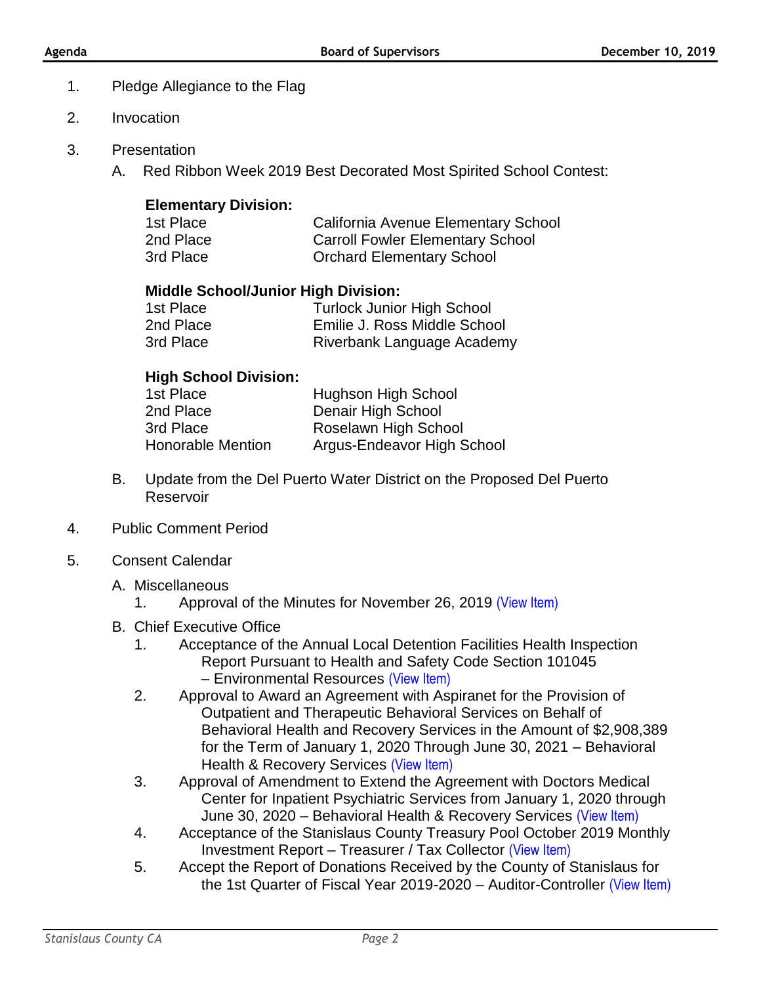## 1. Pledge Allegiance to the Flag

- 2. Invocation
- 3. Presentation
	- A. Red Ribbon Week 2019 Best Decorated Most Spirited School Contest:

## **Elementary Division:**

| 1st Place | California Avenue Elementary School     |
|-----------|-----------------------------------------|
| 2nd Place | <b>Carroll Fowler Elementary School</b> |
| 3rd Place | <b>Orchard Elementary School</b>        |

## **Middle School/Junior High Division:**

| 1st Place | <b>Turlock Junior High School</b> |
|-----------|-----------------------------------|
| 2nd Place | Emilie J. Ross Middle School      |
| 3rd Place | Riverbank Language Academy        |

## **High School Division:**

| 1st Place                | Hughson High School        |
|--------------------------|----------------------------|
| 2nd Place                | Denair High School         |
| 3rd Place                | Roselawn High School       |
| <b>Honorable Mention</b> | Argus-Endeavor High School |

- B. Update from the Del Puerto Water District on the Proposed Del Puerto Reservoir
- 4. Public Comment Period
- 5. Consent Calendar
	- A. Miscellaneous
		- 1. Approval of the Minutes for November 26, 2019 [\(View Item\)](http://www.stancounty.com/bos/minutes/2019/min11-26-19.pdf)
	- B. Chief Executive Office
		- 1. Acceptance of the Annual Local Detention Facilities Health Inspection Report Pursuant to Health and Safety Code Section 101045 – Environmental Resources [\(View Item\)](http://www.stancounty.com/bos/agenda/2019/20191210/B01.pdf)
		- 2. Approval to Award an Agreement with Aspiranet for the Provision of Outpatient and Therapeutic Behavioral Services on Behalf of Behavioral Health and Recovery Services in the Amount of \$2,908,389 for the Term of January 1, 2020 Through June 30, 2021 – Behavioral Health & Recovery Services [\(View Item\)](http://www.stancounty.com/bos/agenda/2019/20191210/B02.pdf)
		- 3. Approval of Amendment to Extend the Agreement with Doctors Medical Center for Inpatient Psychiatric Services from January 1, 2020 through June 30, 2020 – Behavioral Health & Recovery Services [\(View Item\)](http://www.stancounty.com/bos/agenda/2019/20191210/B03.pdf)
		- 4. Acceptance of the Stanislaus County Treasury Pool October 2019 Monthly Investment Report – Treasurer / Tax Collector [\(View Item\)](http://www.stancounty.com/bos/agenda/2019/20191210/B04.pdf)
		- 5. Accept the Report of Donations Received by the County of Stanislaus for the 1st Quarter of Fiscal Year 2019-2020 – Auditor-Controller [\(View Item\)](http://www.stancounty.com/bos/agenda/2019/20191210/B05.pdf)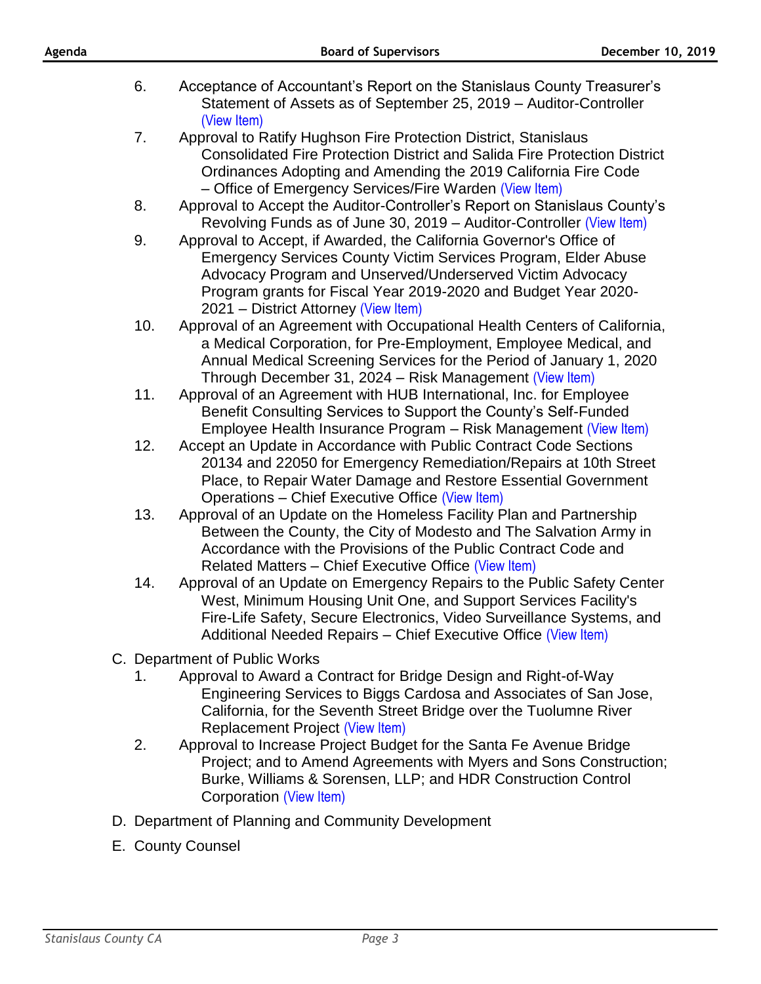| Agenda |     | <b>Board of Supervisors</b>                                                                                                                                                                                                                                                                                  | December 10, 2019 |  |
|--------|-----|--------------------------------------------------------------------------------------------------------------------------------------------------------------------------------------------------------------------------------------------------------------------------------------------------------------|-------------------|--|
|        | 6.  | Acceptance of Accountant's Report on the Stanislaus County Treasurer's<br>Statement of Assets as of September 25, 2019 – Auditor-Controller<br>(View Item)                                                                                                                                                   |                   |  |
|        | 7.  | Approval to Ratify Hughson Fire Protection District, Stanislaus<br><b>Consolidated Fire Protection District and Salida Fire Protection District</b><br>Ordinances Adopting and Amending the 2019 California Fire Code<br>- Office of Emergency Services/Fire Warden (View Item)                              |                   |  |
|        | 8.  | Approval to Accept the Auditor-Controller's Report on Stanislaus County's<br>Revolving Funds as of June 30, 2019 – Auditor-Controller (View Item)                                                                                                                                                            |                   |  |
|        | 9.  | Approval to Accept, if Awarded, the California Governor's Office of<br>Emergency Services County Victim Services Program, Elder Abuse<br>Advocacy Program and Unserved/Underserved Victim Advocacy<br>Program grants for Fiscal Year 2019-2020 and Budget Year 2020-<br>2021 - District Attorney (View Item) |                   |  |
|        | 10. | Approval of an Agreement with Occupational Health Centers of California,<br>a Medical Corporation, for Pre-Employment, Employee Medical, and<br>Annual Medical Screening Services for the Period of January 1, 2020<br>Through December 31, 2024 – Risk Management (View Item)                               |                   |  |
|        | 11. | Approval of an Agreement with HUB International, Inc. for Employee<br>Benefit Consulting Services to Support the County's Self-Funded<br>Employee Health Insurance Program – Risk Management (View Item)                                                                                                     |                   |  |
|        | 12. | Accept an Update in Accordance with Public Contract Code Sections<br>20134 and 22050 for Emergency Remediation/Repairs at 10th Street<br>Place, to Repair Water Damage and Restore Essential Government<br>Operations - Chief Executive Office (View Item)                                                   |                   |  |
|        | 13. | Approval of an Update on the Homeless Facility Plan and Partnership<br>Between the County, the City of Modesto and The Salvation Army in<br>Accordance with the Provisions of the Public Contract Code and<br>Related Matters - Chief Executive Office (View Item)                                           |                   |  |
|        | 14. | Approval of an Update on Emergency Repairs to the Public Safety Center<br>West, Minimum Housing Unit One, and Support Services Facility's<br>Fire-Life Safety, Secure Electronics, Video Surveillance Systems, and<br>Additional Needed Repairs – Chief Executive Office (View Item)                         |                   |  |
|        |     | C. Department of Public Works                                                                                                                                                                                                                                                                                |                   |  |
|        | 1.  | Approval to Award a Contract for Bridge Design and Right-of-Way<br>Engineering Services to Biggs Cardosa and Associates of San Jose,<br>California, for the Seventh Street Bridge over the Tuolumne River<br><b>Replacement Project (View Item)</b>                                                          |                   |  |
|        | 2.  | Approval to Increase Project Budget for the Santa Fe Avenue Bridge<br>Project; and to Amend Agreements with Myers and Sons Construction;<br>Burke, Williams & Sorensen, LLP; and HDR Construction Control<br>Corporation (View Item)                                                                         |                   |  |
|        |     | D. Department of Planning and Community Development                                                                                                                                                                                                                                                          |                   |  |
|        |     | E. County Counsel                                                                                                                                                                                                                                                                                            |                   |  |
|        |     |                                                                                                                                                                                                                                                                                                              |                   |  |